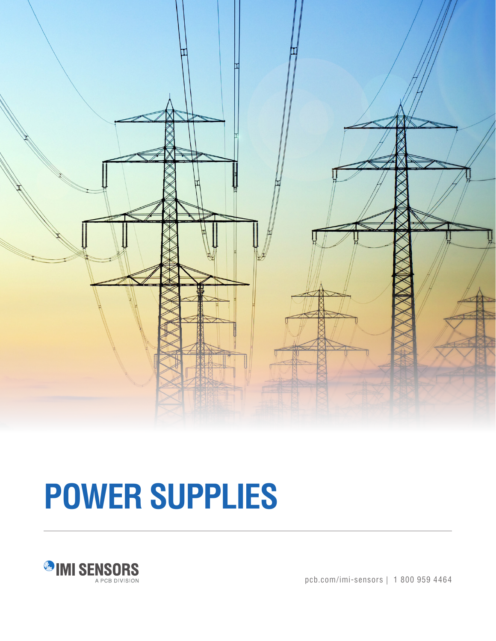

# **POWER SUPPLIES**



pcb.com/imi-sensors | 1 800 959 4464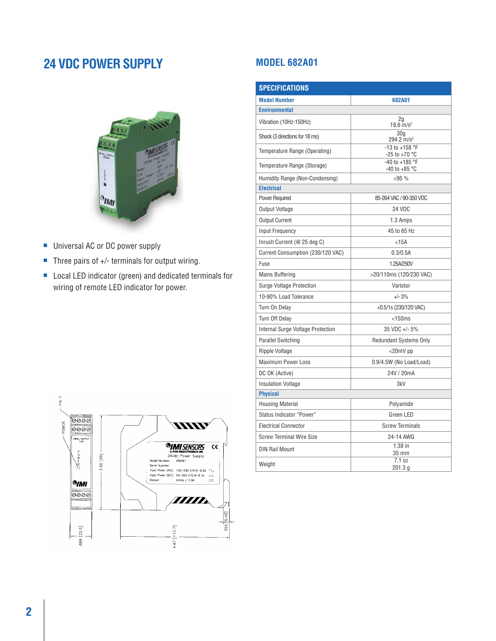### **24 VDC POWER SUPPLY**



- Universal AC or DC power supply
- Three pairs of +/- terminals for output wiring.
- Local LED indicator (green) and dedicated terminals for wiring of remote LED indicator for power.

#### **MODEL 682A01**

| <b>SPECIFICATIONS</b>             |                                          |  |
|-----------------------------------|------------------------------------------|--|
| <b>Model Number</b>               | 682A01                                   |  |
| <b>Environmental</b>              |                                          |  |
| Vibration (10Hz-150Hz)            | $\frac{2g}{19.6}$ m/s <sup>2</sup>       |  |
| Shock (3 directions for 18 ms)    | 30 <sub>a</sub><br>$294.2 \text{ m/s}^2$ |  |
| Temperature Range (Operating)     | -13 to +158 °F<br>$-25$ to $+70$ °C      |  |
| Temperature Range (Storage)       | -40 to +185 °F<br>$-40$ to $+85$ °C      |  |
| Humidity Range (Non-Condensing)   | <95%                                     |  |
| <b>Electrical</b>                 |                                          |  |
| <b>Power Required</b>             | 85-264 VAC / 90-350 VDC                  |  |
| Output Voltage                    | 24 VDC                                   |  |
| <b>Output Current</b>             | 1.3 Amps                                 |  |
| Input Frequency                   | 45 to 65 Hz                              |  |
| Inrush Current (@ 25 deg C)       | $<$ 15A                                  |  |
| Current Consumption (230/120 VAC) | 0.3/0.5A                                 |  |
| Fuse                              | 1.25A/250V                               |  |
| <b>Mains Buffering</b>            | >20/110ms (120/230 VAC)                  |  |
| Surge Voltage Protection          | Varistor                                 |  |
| 10-90% Load Tolerance             | $+/- 3%$                                 |  |
| Turn On Delay                     | <0.5/1s (230/120 VAC)                    |  |
| Turn Off Delay                    | $<$ 150 $ms$                             |  |
| Internal Surge Voltage Protection | 35 VDC +/- 5%                            |  |
| <b>Parallel Switching</b>         | <b>Redundant Systems Only</b>            |  |
| Ripple Voltage                    | <20mV pp                                 |  |
| <b>Maximum Power Loss</b>         | 0.9/4.5W (No Load/Load)                  |  |
| DC OK (Active)                    | 24V / 20mA                               |  |
| <b>Insulation Voltage</b>         | 3kV                                      |  |
| <b>Physical</b>                   |                                          |  |
| <b>Housing Material</b>           | Polyamide                                |  |
| Status Indicator "Power"          | Green LED                                |  |
| <b>Electrical Connector</b>       | <b>Screw Terminals</b>                   |  |
| <b>Screw Terminal Wire Size</b>   | 24-14 AWG                                |  |
| <b>DIN Rail Mount</b>             | $1.38$ in<br>35 mm                       |  |
| Weight                            | 7.1 oz<br>201.3 <sub>q</sub>             |  |

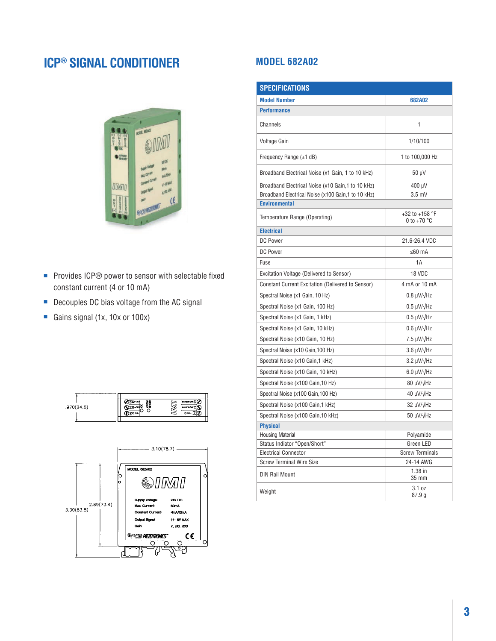## **ICP® SIGNAL CONDITIONER**



- Provides ICP<sup>®</sup> power to sensor with selectable fixed constant current (4 or 10 mA)
- Decouples DC bias voltage from the AC signal
- Gains signal (1x, 10x or 100x)





#### **MODEL 682A02**

| <b>SPECIFICATIONS</b>                                    |                                         |  |
|----------------------------------------------------------|-----------------------------------------|--|
| <b>Model Number</b>                                      | 682A02                                  |  |
| <b>Performance</b>                                       |                                         |  |
| Channels                                                 | 1                                       |  |
| Voltage Gain                                             | 1/10/100                                |  |
| Frequency Range $(\pm 1$ dB)                             | 1 to 100,000 Hz                         |  |
| Broadband Electrical Noise (x1 Gain, 1 to 10 kHz)        | 50 µV                                   |  |
| Broadband Electrical Noise (x10 Gain,1 to 10 kHz)        | 400 µV                                  |  |
| Broadband Electrical Noise (x100 Gain,1 to 10 kHz)       | $3.5$ mV                                |  |
| <b>Environmental</b>                                     |                                         |  |
| Temperature Range (Operating)                            | +32 to +158 °F<br>0 to +70 $^{\circ}$ C |  |
| <b>Electrical</b>                                        |                                         |  |
| <b>DC Power</b>                                          | 21.6-26.4 VDC                           |  |
| DC Power                                                 | ≤60 mA                                  |  |
| Fuse                                                     | 1A                                      |  |
| Excitation Voltage (Delivered to Sensor)                 | 18 VDC                                  |  |
| <b>Constant Current Excitation (Delivered to Sensor)</b> | 4 mA or 10 mA                           |  |
| Spectral Noise (x1 Gain, 10 Hz)                          | $0.8 \mu V/\sqrt{Hz}$                   |  |
| Spectral Noise (x1 Gain, 100 Hz)                         | $0.5 \mu V/\sqrt{Hz}$                   |  |
| Spectral Noise (x1 Gain, 1 kHz)                          | $0.5 \mu V/\sqrt{Hz}$                   |  |
| Spectral Noise (x1 Gain, 10 kHz)                         | $0.6 \mu V/\sqrt{Hz}$                   |  |
| Spectral Noise (x10 Gain, 10 Hz)                         | $7.5 \mu V/\sqrt{Hz}$                   |  |
| Spectral Noise (x10 Gain, 100 Hz)                        | $3.6 \mu V/\sqrt{Hz}$                   |  |
| Spectral Noise (x10 Gain, 1 kHz)                         | $3.2 \mu V/\sqrt{Hz}$                   |  |
| Spectral Noise (x10 Gain, 10 kHz)                        | 6.0 µV/√Hz                              |  |
| Spectral Noise (x100 Gain, 10 Hz)                        | 80 µV/√Hz                               |  |
| Spectral Noise (x100 Gain, 100 Hz)                       | $40 \mu V/\sqrt{Hz}$                    |  |
| Spectral Noise (x100 Gain, 1 kHz)                        | $32 \mu V/\sqrt{Hz}$                    |  |
| Spectral Noise (x100 Gain, 10 kHz)                       | 50 µV/√Hz                               |  |
| <b>Physical</b>                                          |                                         |  |
| <b>Housing Material</b>                                  | Polyamide                               |  |
| Status Indiator "Open/Short"                             | Green LED                               |  |
| <b>Electrical Connector</b>                              | <b>Screw Terminals</b>                  |  |
| <b>Screw Terminal Wire Size</b>                          | 24-14 AWG                               |  |
| <b>DIN Rail Mount</b>                                    | $1.38$ in<br>35 mm                      |  |
| Weight                                                   | 3.1 oz<br>87.9g                         |  |